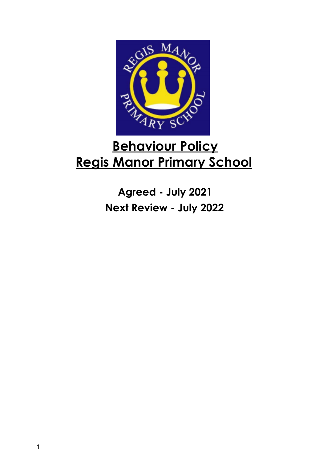

# **Behaviour Policy Regis Manor Primary School**

**Agreed - July 2021 Next Review - July 2022**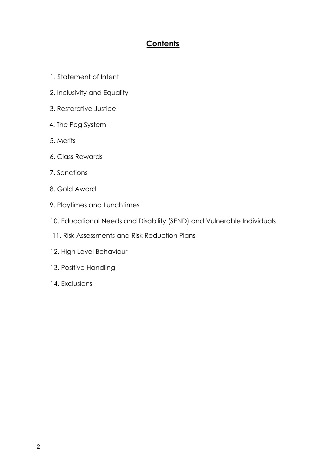# **Contents**

- 1. Statement of Intent
- 2. Inclusivity and Equality
- 3. Restorative Justice
- 4. The Peg System
- 5. Merits
- 6. Class Rewards
- 7. Sanctions
- 8. Gold Award
- 9. Playtimes and Lunchtimes
- 10. Educational Needs and Disability (SEND) and Vulnerable Individuals
- 11. Risk Assessments and Risk Reduction Plans
- 12. High Level Behaviour
- 13. Positive Handling
- 14. Exclusions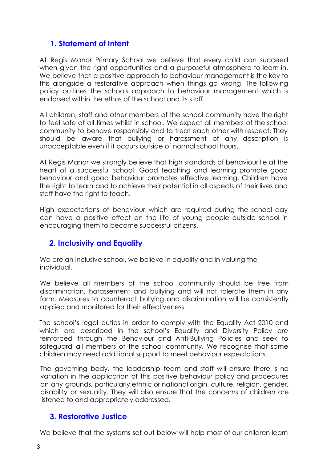## **1. Statement of Intent**

At Regis Manor Primary School we believe that every child can succeed when given the right opportunities and a purposeful atmosphere to learn in. We believe that a positive approach to behaviour management is the key to this alongside a restorative approach when things go wrong. The following policy outlines the schools approach to behaviour management which is endorsed within the ethos of the school and its staff.

All children, staff and other members of the school community have the right to feel safe at all times whilst in school. We expect all members of the school community to behave responsibly and to treat each other with respect. They should be aware that bullying or harassment of any description is unacceptable even if it occurs outside of normal school hours.

At Regis Manor we strongly believe that high standards of behaviour lie at the heart of a successful school. Good teaching and learning promote good behaviour and good behaviour promotes effective learning. Children have the right to learn and to achieve their potential in all aspects of their lives and staff have the right to teach.

High expectations of behaviour which are required during the school day can have a positive effect on the life of young people outside school in encouraging them to become successful citizens.

# **2. Inclusivity and Equality**

We are an inclusive school, we believe in equality and in valuing the individual.

We believe all members of the school community should be free from discrimination, harassement and bullying and will not tolerate them in any form. Measures to counteract bullying and discrimination will be consistently applied and monitored for their effectiveness.

The school's legal duties in order to comply with the Equality Act 2010 and which are described in the school's Equality and Diversity Policy are reinforced through the Behaviour and Anti-Bullying Policies and seek to safeguard all members of the school community. We recognise that some children may need additional support to meet behaviour expectations.

The governing body, the leadership team and staff will ensure there is no variation in the application of this positive behaviour policy and procedures on any grounds, particularly ethnic or national origin, culture, religion, gender, disability or sexuality. They will also ensure that the concerns of children are listened to and appropriately addressed.

#### **3. Restorative Justice**

We believe that the systems set out below will help most of our children learn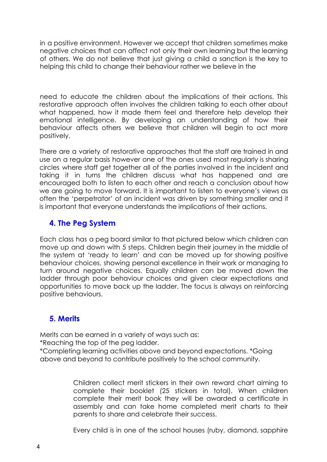in a positive environment. However we accept that children sometimes make negative choices that can affect not only their own learning but the learning of others. We do not believe that just giving a child a sanction is the key to helping this child to change their behaviour rather we believe in the

need to educate the children about the implications of their actions. This restorative approach often involves the children talking to each other about what happened, how it made them feel and therefore help develop their emotional intelligence. By developing an understanding of how their behaviour affects others we believe that children will begin to act more positively.

There are a variety of restorative approaches that the staff are trained in and use on a regular basis however one of the ones used most regularly is sharing circles where staff get together all of the parties involved in the incident and taking it in turns the children discuss what has happened and are encouraged both to listen to each other and reach a conclusion about how we are going to move forward. It is important to listen to everyone's views as often the 'perpetrator' of an incident was driven by something smaller and it is important that everyone understands the implications of their actions.

# **4. The Peg System**

Each class has a peg board similar to that pictured below which children can move up and down with 5 steps. Children begin their journey in the middle of the system at 'ready to learn' and can be moved up for showing positive behaviour choices, showing personal excellence in their work or managing to turn around negative choices. Equally children can be moved down the ladder through poor behaviour choices and given clear expectations and opportunities to move back up the ladder. The focus is always on reinforcing positive behaviours.

# **5. Merits**

Merits can be earned in a variety of ways such as:

\*Reaching the top of the peg ladder.

\*Completing learning activities above and beyond expectations. \*Going above and beyond to contribute positively to the school community.

> Children collect merit stickers in their own reward chart aiming to complete their booklet (25 stickers in total). When children complete their merit book they will be awarded a certificate in assembly and can take home completed merit charts to their parents to share and celebrate their success.

> Every child is in one of the school houses (ruby, diamond, sapphire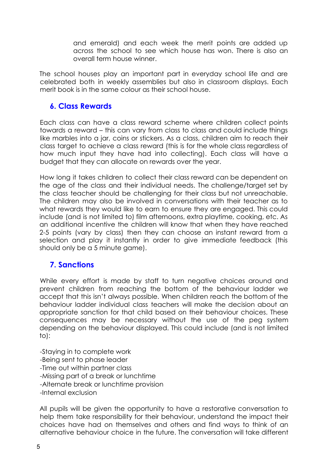and emerald) and each week the merit points are added up across the school to see which house has won. There is also an overall term house winner.

The school houses play an important part in everyday school life and are celebrated both in weekly assemblies but also in classroom displays. Each merit book is in the same colour as their school house.

#### **6. Class Rewards**

Each class can have a class reward scheme where children collect points towards a reward – this can vary from class to class and could include things like marbles into a jar, coins or stickers. As a class, children aim to reach their class target to achieve a class reward (this is for the whole class regardless of how much input they have had into collecting). Each class will have a budget that they can allocate on rewards over the year.

How long it takes children to collect their class reward can be dependent on the age of the class and their individual needs. The challenge/target set by the class teacher should be challenging for their class but not unreachable. The children may also be involved in conversations with their teacher as to what rewards they would like to earn to ensure they are engaged. This could include (and is not limited to) film afternoons, extra playtime, cooking, etc. As an additional incentive the children will know that when they have reached 2-5 points (vary by class) then they can choose an instant reward from a selection and play it instantly in order to give immediate feedback (this should only be a 5 minute game).

#### **7. Sanctions**

While every effort is made by staff to turn negative choices around and prevent children from reaching the bottom of the behaviour ladder we accept that this isn't always possible. When children reach the bottom of the behaviour ladder individual class teachers will make the decision about an appropriate sanction for that child based on their behaviour choices. These consequences may be necessary without the use of the peg system depending on the behaviour displayed. This could include (and is not limited to):

-Staying in to complete work -Being sent to phase leader -Time out within partner class -Missing part of a break or lunchtime -Alternate break or lunchtime provision -Internal exclusion

All pupils will be given the opportunity to have a restorative conversation to help them take responsibility for their behaviour, understand the impact their choices have had on themselves and others and find ways to think of an alternative behaviour choice in the future. The conversation will take different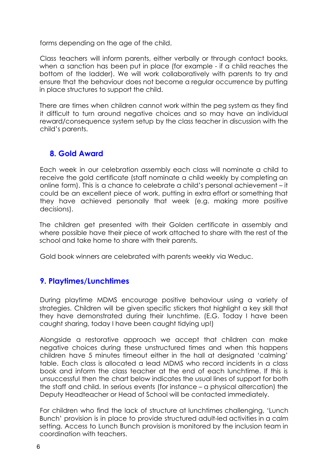forms depending on the age of the child.

Class teachers will inform parents, either verbally or through contact books, when a sanction has been put in place (for example - if a child reaches the bottom of the ladder). We will work collaboratively with parents to try and ensure that the behaviour does not become a regular occurrence by putting in place structures to support the child.

There are times when children cannot work within the peg system as they find it difficult to turn around negative choices and so may have an individual reward/consequence system setup by the class teacher in discussion with the child's parents.

# **8. Gold Award**

Each week in our celebration assembly each class will nominate a child to receive the gold certificate (staff nominate a child weekly by completing an online form). This is a chance to celebrate a child's personal achievement – it could be an excellent piece of work, putting in extra effort or something that they have achieved personally that week (e.g. making more positive decisions).

The children get presented with their Golden certificate in assembly and where possible have their piece of work attached to share with the rest of the school and take home to share with their parents.

Gold book winners are celebrated with parents weekly via Weduc.

# **9. Playtimes/Lunchtimes**

During playtime MDMS encourage positive behaviour using a variety of strategies. Children will be given specific stickers that highlight a key skill that they have demonstrated during their lunchtime. (E.G. Today I have been caught sharing, today I have been caught tidying up!)

Alongside a restorative approach we accept that children can make negative choices during these unstructured times and when this happens children have 5 minutes timeout either in the hall at designated 'calming' table. Each class is allocated a lead MDMS who record incidents in a class book and inform the class teacher at the end of each lunchtime. If this is unsuccessful then the chart below indicates the usual lines of support for both the staff and child. In serious events (for instance – a physical altercation) the Deputy Headteacher or Head of School will be contacted immediately.

For children who find the lack of structure at lunchtimes challenging, 'Lunch Bunch' provision is in place to provide structured adult-led activities in a calm setting. Access to Lunch Bunch provision is monitored by the inclusion team in coordination with teachers.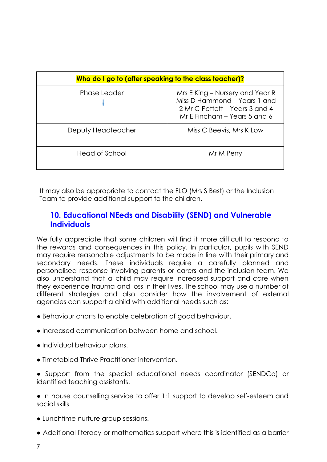| Who do I go to (after speaking to the class teacher)? |                                                                                                                                   |
|-------------------------------------------------------|-----------------------------------------------------------------------------------------------------------------------------------|
| <b>Phase Leader</b>                                   | Mrs E King – Nursery and Year R<br>Miss D Hammond - Years 1 and<br>2 Mr C Pettett – Years 3 and 4<br>Mr E Fincham – Years 5 and 6 |
| Deputy Headteacher                                    | Miss C Beevis, Mrs K Low                                                                                                          |
| Head of School                                        | Mr M Perry                                                                                                                        |

It may also be appropriate to contact the FLO (Mrs S Best) or the Inclusion Team to provide additional support to the children.

#### **10. Educational NEeds and Disability (SEND) and Vulnerable Individuals**

We fully appreciate that some children will find it more difficult to respond to the rewards and consequences in this policy. In particular, pupils with SEND may require reasonable adjustments to be made in line with their primary and secondary needs. These individuals require a carefully planned and personalised response involving parents or carers and the inclusion team. We also understand that a child may require increased support and care when they experience trauma and loss in their lives. The school may use a number of different strategies and also consider how the involvement of external agencies can support a child with additional needs such as:

- Behaviour charts to enable celebration of good behaviour.
- Increased communication between home and school.
- Individual behaviour plans.
- Timetabled Thrive Practitioner intervention.
- Support from the special educational needs coordinator (SENDCo) or identified teaching assistants.

● In house counselling service to offer 1:1 support to develop self-esteem and social skills

- Lunchtime nurture group sessions.
- Additional literacy or mathematics support where this is identified as a barrier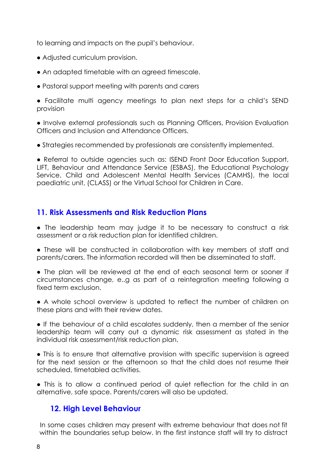to learning and impacts on the pupil's behaviour.

- Adjusted curriculum provision.
- An adapted timetable with an agreed timescale.
- Pastoral support meeting with parents and carers
- Facilitate multi agency meetings to plan next steps for a child's SEND provision

● Involve external professionals such as Planning Officers, Provision Evaluation Officers and Inclusion and Attendance Officers.

● Strategies recommended by professionals are consistently implemented.

• Referral to outside agencies such as: ISEND Front Door Education Support, LIFT, Behaviour and Attendance Service (ESBAS), the Educational Psychology Service, Child and Adolescent Mental Health Services (CAMHS), the local paediatric unit, (CLASS) or the Virtual School for Children in Care.

# **11. Risk Assessments and Risk Reduction Plans**

● The leadership team may judge it to be necessary to construct a risk assessment or a risk reduction plan for identified children.

● These will be constructed in collaboration with key members of staff and parents/carers. The information recorded will then be disseminated to staff.

● The plan will be reviewed at the end of each seasonal term or sooner if circumstances change, e..g as part of a reintegration meeting following a fixed term exclusion.

● A whole school overview is updated to reflect the number of children on these plans and with their review dates.

● If the behaviour of a child escalates suddenly, then a member of the senior leadership team will carry out a dynamic risk assessment as stated in the individual risk assessment/risk reduction plan.

● This is to ensure that alternative provision with specific supervision is agreed for the next session or the afternoon so that the child does not resume their scheduled, timetabled activities.

● This is to allow a continued period of quiet reflection for the child in an alternative, safe space. Parents/carers will also be updated.

# **12. High Level Behaviour**

In some cases children may present with extreme behaviour that does not fit within the boundaries setup below. In the first instance staff will try to distract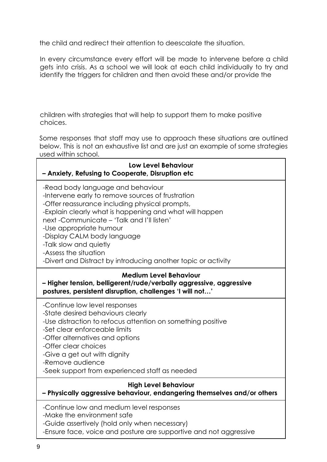the child and redirect their attention to deescalate the situation.

In every circumstance every effort will be made to intervene before a child gets into crisis. As a school we will look at each child individually to try and identify the triggers for children and then avoid these and/or provide the

children with strategies that will help to support them to make positive choices.

Some responses that staff may use to approach these situations are outlined below. This is not an exhaustive list and are just an example of some strategies used within school.

| Low Level Behaviour<br>- Anxiety, Refusing to Cooperate, Disruption etc                                                                                                                                                                                                                                                                                                                                                        |  |
|--------------------------------------------------------------------------------------------------------------------------------------------------------------------------------------------------------------------------------------------------------------------------------------------------------------------------------------------------------------------------------------------------------------------------------|--|
| -Read body language and behaviour<br>-Intervene early to remove sources of frustration<br>-Offer reassurance including physical prompts,<br>-Explain clearly what is happening and what will happen<br>next-Communicate - 'Talk and I'll listen'<br>-Use appropriate humour<br>-Display CALM body language<br>-Talk slow and quietly<br>-Assess the situation<br>-Divert and Distract by introducing another topic or activity |  |
| <b>Medium Level Behaviour</b><br>- Higher tension, belligerent/rude/verbally aggressive, aggressive<br>postures, persistent disruption, challenges 'I will not'                                                                                                                                                                                                                                                                |  |
| -Continue low level responses<br>-State desired behaviours clearly<br>-Use distraction to refocus attention on something positive<br>-Set clear enforceable limits<br>-Offer alternatives and options<br>-Offer clear choices<br>-Give a get out with dignity<br>-Remove audience<br>-Seek support from experienced staff as needed                                                                                            |  |
| <b>High Level Behaviour</b><br>- Physically aggressive behaviour, endangering themselves and/or others                                                                                                                                                                                                                                                                                                                         |  |
| -Continue low and medium level responses<br>-Make the environment safe<br>-Guide assertively (hold only when necessary)<br>-Ensure face, voice and posture are supportive and not aggressive                                                                                                                                                                                                                                   |  |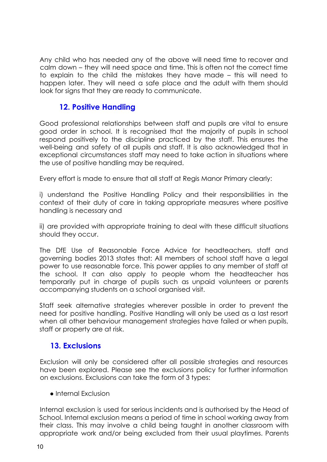Any child who has needed any of the above will need time to recover and calm down – they will need space and time. This is often not the correct time to explain to the child the mistakes they have made – this will need to happen later. They will need a safe place and the adult with them should look for signs that they are ready to communicate.

# **12. Positive Handling**

Good professional relationships between staff and pupils are vital to ensure good order in school. It is recognised that the majority of pupils in school respond positively to the discipline practiced by the staff. This ensures the well-being and safety of all pupils and staff. It is also acknowledged that in exceptional circumstances staff may need to take action in situations where the use of positive handling may be required.

Every effort is made to ensure that all staff at Regis Manor Primary clearly:

i) understand the Positive Handling Policy and their responsibilities in the context of their duty of care in taking appropriate measures where positive handling is necessary and

ii) are provided with appropriate training to deal with these difficult situations should they occur.

The DfE Use of Reasonable Force Advice for headteachers, staff and governing bodies 2013 states that: All members of school staff have a legal power to use reasonable force. This power applies to any member of staff at the school. It can also apply to people whom the headteacher has temporarily put in charge of pupils such as unpaid volunteers or parents accompanying students on a school organised visit.

Staff seek alternative strategies wherever possible in order to prevent the need for positive handling. Positive Handling will only be used as a last resort when all other behaviour management strategies have failed or when pupils, staff or property are at risk.

#### **13. Exclusions**

Exclusion will only be considered after all possible strategies and resources have been explored. Please see the exclusions policy for further information on exclusions. Exclusions can take the form of 3 types:

● Internal Exclusion

Internal exclusion is used for serious incidents and is authorised by the Head of School. Internal exclusion means a period of time in school working away from their class. This may involve a child being taught in another classroom with appropriate work and/or being excluded from their usual playtimes. Parents